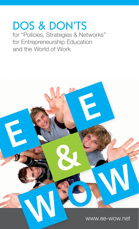# DOS & DON'TS for "Policies, Strategies & Networks"

for Entrepreneurship Education and the World of Work

www.ee-wow.net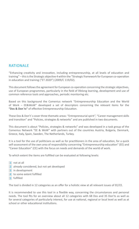# **RATIONALE**

"Enhancing creativity and innovation, including entrepreneurship, at all levels of education and training" – this is the Strategic objective 4 within the "Strategic framework for European co-operation in education and training ("ET 2020") (2009/C 119/02).

This document follows the agreement for European co-operation concerning the strategic objectives, use of European programmes, particularly in the field of lifelong learning, development and use of common reference tools and approaches, periodic monitoring etc.

Based on this background the Comenius network "Entrepreneurship Education and the World of Work – EE&WoW" developed a set of descriptors concerning the relevant items for the **"Dos & Don´ts"** of effective Entrepreneurship Education.

These Dos & Don't´s cover three thematic areas: "Entrepreneurial spirit", "Career management skills and transition" and "Policies, strategies & networks" and are published in two documents.

This document is about "Policies, strategies & networks" and was developed in a task group of the Comenius Network "EE & WoW" with partners out of the countries Austria, Bulgaria, Denmark, Greece, Italy, Spain, Sweden, The Netherlands, Turkey.

It is a tool for the use of politicians as well as for practitioners in the area of education, for a quick self-assessment of the own area of responsibility concerning "Entrepreneurship education" (EE) and "Career Education" (CE) with the focus on needs and demands of the world of work.

To which extent the items are fulfilled can be evaluated at following levels:

- 1 not at all
- 2 already considered, but not yet developed
- 3 in development
- 4 to some extent fulfilled
- 5 fulfilled

The tool is divided in 12 categories as an offer for a holistic view at all relevant issues of EE/CE.

It is recommended to use this tool in a flexible way, concerning the circumstances and personal needs. The tool fits for an overview about all 12 categories with 68 Dos and 35 Don'ts as well as for several categories of particularly interest, for use at national, regional or local level as well as at school or other educational institutions.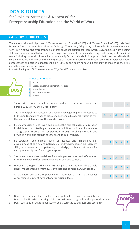# **Dos & Don'ts**

# for "Policies, Strategies & Networks" for Entrepreneurship Education and the World of Work

# **Category 1: Objectives**

The national aim and objective of "Entrepreneurship Education" (EE) and "Career Education" (CE) is derived from the European Union Education and Training 2020 strategy 4th priority and from the 7th key competence: "Sense of initiative and entrepreneurship" of the European Reference Framework. EE/CE focuses on developing skills and competences that are necessary to prepare students for a fast changing, challenging and globalized world including the world of work. Entrepreneurship Education is a holistic approach that covers activities both inside and outside of school and encompasses activities in a narrow and broad sense, from personal, social competences and career management skills (CMS) to the ability to found a company, to mastering the skills and attitudes of an entrepreneur.

In the following text "EE" means always "EE/CE/CMS" in a holistic view.



- not at all 1
	- already considered, but not yet developed
- in development
- to some extent fulfilled
- 5 fulfilled
- 1. There exists a national political understanding and interpretation of the Europe 2020 vision, and EE specifically.
- 2. The national policies, strategies and governance regarding EE are adapted to fit the needs and demands of today's society and educational system as well the needs and demands of the world of work.
- 3. EE encompasses all age levels beginning at the earliest stages of education in childhood up to tertiary education and adult education and stimulates a progression in skills and competences through teaching methods and activities within and outside of school and formal learning.
- 4. EE strategies and policies cover all aspects and dimensions e.g. development of talents and potentials of individuals, career management skills, intrapreneurial competences, knowledge, skills and attitudes for entrepreneurship and founding enterprises.
- 5. The Government gives guidelines for the implementation and effectuation of EE in national and/or regional education acts and curricula.
- 6. National and regional education acts give guidelines and tools that enable school managements continuously evaluate and develop EE/CE in school.
- 7. An evaluation procedure for pursuit and achievement of aims and objectives concerning EE exists at national and/or regional level.



- 1. Don't see EE as a facultative activity, only applicable to those who are interested.
- 2. Don't make EE activities to single initiatives without being anchored in policy documents.
- 3. Don't see EE as an educational activity solely targeted to business and economy.

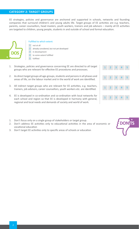# **Category 2: Target groups**

EE strategies, policies and governance are anchored and supported in schools, networks and founding companies that surround children's and young adults life. Target groups of EE activities are e.g. teachers, parents, career counsellors, head masters, youth workers, trainers and job advisors – mainly all EE activities are targeted to children, young people, students in and outside of school and formal education.



- not at all 1
	- already considered, but not yet developed
- 3 in development
	- to some extent fulfilled
	- 5 fulfilled
- 1. Strategies, policies and governance concerning EE are directed to all target groups who are relevant for effective EE procedures and processes.
- 2. As direct target groups all age-groups, students and persons in all phases and areas of life, on the labour market and in the world of work are identified.
- 3. All indirect target groups who are relevant for EE activities, e.g. teachers, trainers, job advisors, career counsellors, youth workers etc. are identified.
- 4. EE is developed in co-ordination and co-ordination with local networks for each school and region so that EE is developed in harmony with general, regional and local needs and demands of society and world of work.
- 1. Don't focus only on a single group of stakeholders or target group.
- 2. Don't address EE activities only to educational activities in the area of economic or vocational education
- 3. Don't target EE activities only to specific areas of schools or education

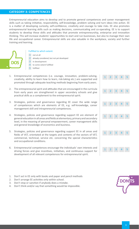# **Category 3: Competences**

Entrepreneurial education aims to develop and to promote general competences and career management skills such as taking initiative, responsibility, self-knowledge, problem solving and turn ideas into action. EE is a matter of developing curiosity, self-confidence, creativity and courage to take risks. EE also promotes entrepreneurial learning skills such as making decisions, communicating and co-operating. EE is to support students to develop these skills and attitudes that promote entrepreneurship, enterprise and innovation thinking. This will increase students' opportunities to start and run businesses, but also to manage their own life and occupational career. Entrepreneurial skills are also valuable in the workplace, society and further training and learning.



- not at all 1
- 2 already considered, but not yet developed
- in development
- to some extent fulfilled
- 5 fulfilled
- 1. Entrepreneurial competences (i.e. courage, innovation, problem-solving, creativity, ability to learn how to learn, risk-taking etc.) are supported and promoted through adequate teaching methods beginning from early years.
- 2. The entrepreneurial spirit and attitudes that are encouraged in the curricula from early years are strengthened in upper secondary schools and give practical skills as a complement to the entrepreneurial spirit.
- 3. Strategies, policies and governance regarding EE cover the wide range of competences which are elements of EE, e.g. self-knowledge, career management skill and intrapreneurial competences.
- 4. Strategies, policies and governance regarding support EE are element of general education in all areas and fields at elementary, primary and secondary level, in the meaning of personal empowerment, career management skills and general knowledge of economics and business.
- 5. Strategies, policies and governance regarding support EE in all areas and fields of VET, orientated at the targets and contents of the sectors of VET, commercial, technical, service etc. concerning the special characteristics and occupational conditions.
- 6. Entrepreneurial competences encourage the individuals' own interests and driving forces and give incentives, initiatives, and continuous support for development of all relevant competences for entrepreneurial spirit.



- 1. Don't act in EE only with books and paper and pencil methods
- 2. Don't arrange EE activities only within school.
- 3. Don't stop or sanction if anybody does a mistake.
- 4. Don't think and/or say that something would be impossible.

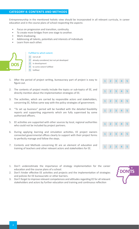# **Category 4: Contents and Methods**

Entrepreneurship in the mentioned holistic view should be incorporated in all relevant curricula, in career education and in the course plans of school respecting the aspects:

- Focus on progression and transition, continuity.
- To create more bridges from one stage to another.
- Work shadowing.
- Addressing all talents, potentials and interests of individuals
- Learn from each other.



- 1 not at all 2 already considered, but not yet developed
- 3 in development
	- to some extent fulfilled
- 5 fulfilled
- 1. After the period of project writing, bureaucracy part of project is easy to figure out.
- 2. The contents of project mostly include the topics or sub-topics of EE, and directly mention about the implementation strategies of EE.
- 3. The activities, which are carried by responsible actors and stakeholders, concerning EE, follow same way with the policy strategies of government.
- 4. "To set up business" period will be handled with the detailed feasibility reports and supporting arguments which are fully supervised by some authorized officers.
- 5. EE activities are supported with other sources by local, regional authorities who could not be included by project partners.
- 6. During applying learning and simulation activities, EE project owners connected governmental offices clearly to support with their project forms to perfectly manage and follow the steps.
- 7. Contents and Methods concerning EE are an element of education and training of teachers and other relevant actors and stakeholders for EE.
- 1. Don't underestimate the importance of strategy implementation for the career education and the course plans of a school.
- 2. Don't hinder effective EE activities and projects and the implementation of strategies and policies for EE bureaucratic or other barriers.
- 3. Don't forget to improve relevant competences and attitudes regarding EE for all relevant stakeholders and actors by further education and training and continuous reflection

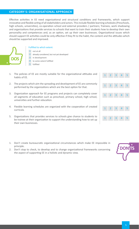# **Category 5: Organisational approach**

Effective activities in EE need organizational and structural conditions and frameworks, which support innovative and flexible acting of all stakeholders and actors. This include flexible learning schedules (Preschools, high schools, universities), co-operation school and external providers / partners; Trainees, work shadowing and organizations that provide services to schools that want to train their students how to develop their own personality and competences and, as an option, set up their own businesses. Organizational issues which should support EE activities could be only effective if they fit to the habit, the content and the attitudes which should be supported and improved.



#### Fulfilled to which extent:

not at all

1

- already considered, but not yet developed
- in development
- to some extent fulfilled
- 5 fulfilled
- 1. The policies of EE are mostly suitable for the organizational attitudes and habits of EE.
- 2. The projects which aim the spreading and development of EE are commonly performed by the organizations which are the best option for that.
- 3. Organization approach for EE programs and projects can completely cover all segments of education such as preschool, primary school, high school, universities and further education.
- 4. Flexible learning schedules are organized with the cooperation of created curricula.
- 5. Organizations that provides services to schools give chance to students to be trainee at their organization to support the understanding how to set up their own businesses.
- 1. Don't create bureaucratic organizational circumstances which make EE impossible in principle.
- 2. Don't stop to check, to develop and to change organizational frameworks concerning the aspect of supporting EE in a holistic and dynamic view.



1 2 3 4 5

1 2 3 4 5

1 2 3 4 5

1 2 3 4 5

1 2 3 4 5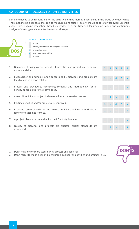# **Category 6: Processes to run EE activities**

Someone needs to be responsible for the activity and that there is a consensus in the group who does what. There need to be clear goals that can be measured, and factors, below, should be carefully followed. Essential aspects are: ongoing evaluation, based on evidence, clear strategies for implementation and continuous analyse of the target-related effectiveness of all steps.



- not at all 1
	- already considered, but not yet developed
- 3 in development
- 4 to some extent fulfilled
- 5 fulfilled
- 1. Demands of policy owners about EE activities and project are clear and understandable.
- 2. Bureaucracy and administration concerning EE activities and projects are feasible and in a good relation.
- 3. Process and procedures concerning contents and methodology for an activity or projects are well developed.
- 4. A new EE activity or project is developed as an innovative process.
- 5. Existing activities and/or projects are improved.
- 6. Expected results of activities and projects for EE are defined to maximize all factors of outcomes from EE.
- 7. A project plan and a timetable for the EE activity is made.
- 8. Quality of activities and projects are audited, quality standards are developed.
- 1. Don't miss one or more steps during process and activities.
- 2. Don't forget to make clear and measurable goals for all activities and projects in EE.

| $\mathbf{1}$ |                            |                          | $2 \quad 3 \quad 4 \quad 5$ |                            |
|--------------|----------------------------|--------------------------|-----------------------------|----------------------------|
|              |                            |                          |                             |                            |
| $\mathbf{1}$ |                            | $2 \quad 3 \quad 4$      |                             | $-5$                       |
|              |                            |                          |                             |                            |
| $\mathbf{1}$ |                            | $2 \quad 3 \quad 4$      |                             | $-5$                       |
|              |                            |                          |                             |                            |
| $\mathbf{1}$ | $\overline{2}$             | $\overline{\mathbf{3}}$  | $\vert$ 4                   | 5                          |
|              |                            |                          |                             | 5                          |
| 1            | $\overline{2}$             | $\overline{\phantom{a}}$ | $\overline{4}$              |                            |
| $\mathbf{1}$ | $\overline{\phantom{0}}$   | $\overline{\phantom{a}}$ | $\vert$ 4                   | $-5$                       |
|              |                            |                          |                             |                            |
| 1            | $\overline{\phantom{0}}$ 2 | $\overline{\mathbf{3}}$  | $\overline{4}$              | $\overline{\phantom{0}}$ 5 |
|              |                            |                          |                             |                            |
| 1            | $\overline{2}$             | $\overline{\phantom{a}}$ | $\vert$ 4                   | 5                          |

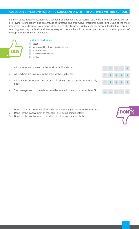# **Category 7: Persons who are concerned with the activity within school**

EE in an educational institution like a school is as effective and successful as the staff and concerned persons are "living" a philosophy and an attitude of initiative and creativity: "entrepreneurial spirit". One of the most important issues to create a common atmosphere of entrepreneurial relevant behaviour, leadership, learning, teaching, working methods and methodologies is to involve all concerned persons in a common process of entrepreneurial thinking and acting.



- not at all  $1<sup>1</sup>$
- 2 already considered, but not yet developed
- 3 in development
- 4 to some extent fulfilled
- 5 fulfilled
- 1. All students are involved in the work with EE activities.
- 2. All teachers are involved in the work with EE activities.
- 3. All teachers are trained and attend refreshing courses on EE on a regularly basis.
- 4. The management of the school provides an environment that stimulates EE.



- 2. Don't let the involvement of teachers in EE being coincidentally.
- 3. Don't let the involvement of students in EE being coincidentally.

| $\mathbf{1}$ | $\overline{2}$ | $\overline{3}$ | $\overline{4}$ | -5 |
|--------------|----------------|----------------|----------------|----|
| 1            | $\overline{2}$ | $\overline{3}$ | $\overline{4}$ | 5  |
| 1            | $\overline{2}$ | $\overline{3}$ | $\overline{4}$ | 5  |
|              |                |                |                |    |
| 1            | $\overline{2}$ | $\overline{3}$ | 4              | 5  |

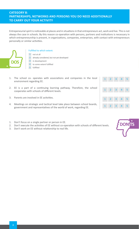Entrepeneurial spirit is noticeable at places and in situations in that entrepreneurs act, work and live. This is not always the case in schools. By this reason co-operation with persons, partners and institutions is necessary in which entrepreneurship is present, in organizations, companies, enterprises, with contact with entrepreneurs personally or similar activities.



- 1 not at all
- 2 already considered, but not yet developed
- 3 in development
- 4 to some extent fulfilled
- 5 fulfilled
- 1. The school co- operates with associations and companies in the local environment regarding EE.
- 2. EE is a part of a continuing learning pathway. Therefore, the school cooperates with schools of different levels.
- 3. Parents are involved in EE activities.
- 4. Meetings on strategic and tactical level take place between school boards, government and representatives of the world of work, regarding EE.



- 1. Don't focus on a single partner or person in EE.
- 2. Don't execute the activities of EE without co-operation with schools of different levels.
- 3. Don't work on EE without relationship to real life.

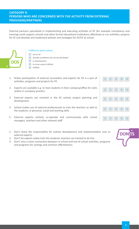# **CATEGORY 9: Persons who are concerned with the activity from external providers/partners**

External partners specialized in implementing and executing activities of EE (for example consultancy and training) could support schools and other formal educational institutions effectively to run activities, projects for EE and develop and implement policies and strategies for EE/CE at school.



- 1 not at all
- 2 already considered, but not yet developed
- 3 in development
- 4 to some extent fulfilled
- 5 fulfilled
- 1. Active participation of external counsellors and experts for EE is a part of activities, programs and projects for EE.
- 2. Experts are available e.g. to host students in their company/office for visits and/or in-company practice.
- 3. External experts are involved in the EE activity project planning and development.
- 4. School makes use of external professionals to train the teachers as well as the students, in personal, social and working skills
- 5. External experts actively co-operate and communicate with school managers, teachers and other relevant staff.
- 1. Don't leave the responsibility for activity development and implementation only to external experts.
- 2. Don't let experts solely train the students, teachers are trained to do this.
- 3. Don't miss a close connection between in-school and out-of school activities, programs and programs for synergy and common effectiveness.

| $\mathbf{1}$ | $2 \quad 3$      |                         | $\vert$ 4                           | $\overline{\phantom{0}}$ |
|--------------|------------------|-------------------------|-------------------------------------|--------------------------|
|              |                  |                         |                                     |                          |
| $\mathbf{1}$ | $2 \overline{3}$ |                         | $\vert 4 \vert$                     | $\overline{\phantom{0}}$ |
|              |                  |                         |                                     |                          |
| $\mathbf{1}$ |                  |                         | $2 \quad 3 \quad 4 \quad 5$         |                          |
|              |                  |                         | $1 \quad 2 \quad 3 \quad 4 \quad 5$ |                          |
|              |                  |                         |                                     |                          |
| $\mathbf{1}$ | $\overline{2}$   | $\overline{\mathbf{3}}$ | $\vert$ 4                           | -5                       |

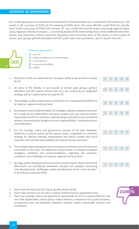## **Category 10: Dimensions**

EE is a lifelong process and should not be restricted to school education but is expanded in life continuum. The earlier in life a process of EE/CE (in the meaning of CMS) starts, the more effective could EE/CE be, and the more further processes of EE/CE will succeed. EE has a multi dimensional scope concerning regional radius (local, regional, national, European…), concerning phases of life (early family phase, early childhood education, school, post-secondary, tertiary and adult education) and concerning areas of life (family, in and outside of school, peer groups, general education and VET, youth clubs and associations, sports, leisure time etc.)



- not at all 1
- 2 already considered, but not yet developed
- in development
- to some extent fulfilled
- fulfilled
- 1. All phases of life are addressed by a strategic, policy or governance concept for EE.
- 2. All areas of life (family, in and outside of school, peer groups, general education and VET, sports, leisure time etc.) are covered by an integrated strategy, policy or governance concept for EE.
- 3. The strategic, policy or governance concept for EE is developed and effective at national, regional and local level.
- 4. Development and implementation of strategies, policies and governance for EE is made by all stakeholders and policy makers who are relevant and/or responsible fore EE in a common understanding in principle and a committed process concerning the background and responsibilities f involved persons and institutions.
- 5. For the strategy, policy and governance process of EE exist networks, platforms at various levels and for various areas, integrated in a common strategy for lifelong learning, employment and labour market and social inclusion, with shared responsibilities for special focuses and areas.
- 6. The strategy, policy and governance processes at all levels and in all areas are orientated on the aims and objectives and priorities of relevant European strategies, initiatives and recommendations, regarding the concerns, conditions, and challenges at national, regional and local level.
- 7. Strategy, policy and governance processes concerning the above mentioned dimensions are periodically evaluated, checked and updated concerning new developments, challenges, needs and demands of the "voice of users" in all relevant areas and fields.
- 1. Don't have the focus for EE only at specific phases of life.
- 2. Don't have the focus for EE only in several institutional ore segmented areas.
- 3. Don't see strategic, policy and governance approaches for EE as a responsibility for one ore a few stakeholders and/or policy makers without a mechanism for Communication, co-operation and coo-ordination between relevant and/or responsible persons and institutions.

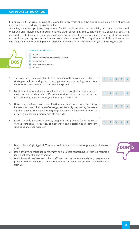In principle is EE an issue, as part of Lifelong learning, which should be a continuous element in all phases, areas and fields of education, work and life.

Activities, measures, projects, programmes for EE should consider this principle, but could be structured, organized and implemented in quite different ways, concerning the conditions of the specific aspects and approaches. Strategies, policies and governance regarding EE should consider these aspects in a holistic approach, supporting both, a continuous, sustainable process of EE during all phases of life in all areas, and with individualized focuses depending on needs and demands of individuals, organizations, regions etc.



- not at all 1
- 2 already considered, but not yet developed
- 3 in development
	- to some extent fulfilled
- 5 fulfilled
- 1. The duration of measures for EE/CE correlates to the aims and objectives of strategies, policies and governance in general and concerning the various dimensions, areas and phases for EE/CE in special.
- 2. For different aims and objectives, target groups exist different approaches, measures and activities with different dimensions and durations, integrated in a common process of strategy, policies and governance.
- 3. Networks, platforms and co-ordination mechanisms ensure the fitting between aims and objectives of strategy, policies and governance, the needs and demands of the users and target groups and the kind and duration of activities, measures, programmes etc for EE/CE.
- 4. It exists a wide range of activities, programs and projects for EE fitting to various potentials, resources, competences and possibilities in different situations and circumstances.
- 1. Don't offer a single type of EE with a fixed duration for all areas, phases or dimensions of EE.
- 2. Don't involve all students in programs and projects concerning EE without respect of individual potential and condition.
- 3. Don't force all teachers and other staff members to the same activities, programs and projects without respect of their competences, interests and potentials to teach and to train EE.



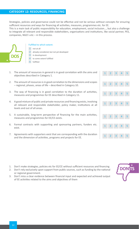# **Category 12: Resources, Financing**

Strategies, policies and governance could not be effective and not be serious without concepts for ensuring sufficient resources and ways for financing all activities, measures, programmes etc. for EE.

This is a main task of public responsibility for education, employment, social inclusion…, but also a challenge to integrate all relevant and responsible stakeholders, organisations and institutions, like social partner, PES, companies, NGO´s etc – in this process.



- 1 not at all already considered, but not yet developed
- in development
- to some extent fulfilled
- 5 fulfilled
- 1. The amount of resources in general is in good correlation with the aims and objectives described in Category 1.
- 2. The amount of resources is in good correlation to the dimensions and scopes  $\begin{array}{c|c} \hline \end{array}$ - regional, phases, areas of life - described in Category 10.
- 3. The way of financing is in good correlation to the duration of activities, This document follows the agreement for European co-operation concerning the strategic objectives, measures and programmes for EE described in Category 11.
- 4. A good mixture of public and private resources and financing exists, involving all relevant and responsible stakeholder, policy maker, institutions at all levels and out of all areas. This background the Comencil Entrepreneurship Entrepreneurship Entrepreneurship E
- 5. A sustainable, long-term perspective of financing for the main activities, measures and programmes for EE/CE exists.
- 6. Formal contracts with supporting and sponsoring partners, funders etc. exist. b. Formal contracts with supporting and sponsoring partners, funders etc.  $\begin{bmatrix} 1 & 2 & 3 \end{bmatrix}$
- 7. Agreements with supporters exist that are corresponding with the duration  $\begin{array}{c} \begin{array}{c} \begin{array}{ccc} \end{array} & \begin{array}{ccc} \end{array} & \begin{array}{ccc} \end{array} & \begin{array}{ccc} \end{array} & \begin{array}{ccc} \end{array} & \begin{array}{ccc} \end{array} & \begin{array}{ccc} \end{array} & \begin{array}{ccc} \end{array} & \begin{array}{ccc} \end{array} & \begin{array}{ccc} \end{array}$ and the dimension of activities, programs and projects for EE.  $\begin{bmatrix} 1 & 2 & 3 & 4 & 5 \\ 2 & 1 & 2 & 3 & 4 & 5 \\ 1 & 1 & 2 & 3 & 4 & 5 \\ 1 & 1 & 2 & 3 & 4 & 5 \\ 1 & 1 & 1 & 2 & 3 & 4 & 5 \\ 1 & 1 & 1 & 2 & 3 & 4 & 5 \\ 1 & 1 & 1 & 2 & 3 & 4 & 5 \\ 1 & 1 & 1 & 2 & 3 & 4 &$ Greece, Italy, Spain, Sweden, The Netherlands, Turkey.
- 1. Don't make strategies, policies etc for EE/CE without sufficient resources and financing
- 2. Don't rely exclusively upon support from public sources, such as funding by the national or regional government.
- 3. Don't miss a clear evidence between financial input and expected and achieved output of EE activities related to the aims and objectives of them 3



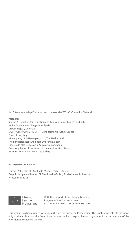© "Entrepreneurship Education and the World of Work", Comenius Network

#### **Partners:**

Styrian Association for Education and Economics, Austria (Co-ordinator) Junior Achievement Bulgaria, Bulgaria Lisbeth Højdal, Denmark ΕΛΛΗΝΟΓΕΡΜΑΝΙΚΗ ΑΓΩΓΗ - Ellinogermaniki Agogi, Greece Eurocultura, Italy Municipality of ,s-Hertogenbosch, The Netherlands The Fundación Red Andalucía Emprende, Spain Escuela de Alta Dirección y Administración, Spain Göteborg Region Association of Local Authorities, Sweden Istanbul Commerce University, Turkey

## **http://www.ee-wow.net**

Editors: Peter Härtel / Michaela Marterer STVG, Austria Graphic design and Layout: SL Multimedia GmBH, Studio Lannach, Austria Printed May 2013



Lifelong Learning Programme With the support of the Lifelong Learning Program of the European Union 510354-LLP-1-2010-1-AT-COMENIUS-CNW

This project has been funded with support from the European Commission. This publication reflects the views only of the author, and the Commission cannot be held responsible for any use which may be made of the information contained therein.